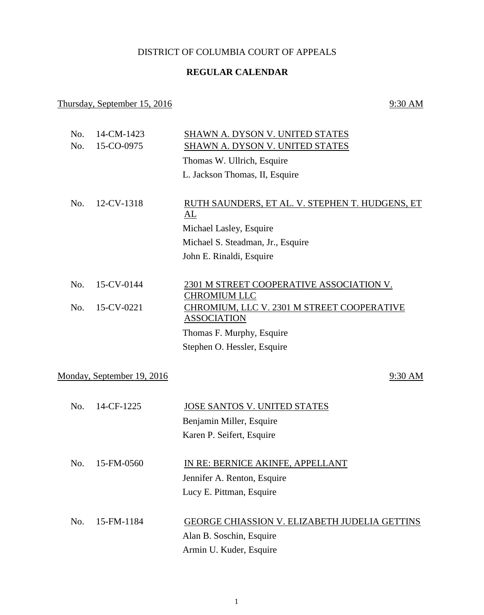## DISTRICT OF COLUMBIA COURT OF APPEALS

## **REGULAR CALENDAR**

## Thursday, September 15, 2016 9:30 AM

| No. | 14-CM-1423                 | SHAWN A. DYSON V. UNITED STATES                                  |
|-----|----------------------------|------------------------------------------------------------------|
| No. | 15-CO-0975                 | SHAWN A. DYSON V. UNITED STATES                                  |
|     |                            | Thomas W. Ullrich, Esquire                                       |
|     |                            | L. Jackson Thomas, II, Esquire                                   |
|     |                            |                                                                  |
| No. | 12-CV-1318                 | RUTH SAUNDERS, ET AL. V. STEPHEN T. HUDGENS, ET<br>AL            |
|     |                            | Michael Lasley, Esquire                                          |
|     |                            | Michael S. Steadman, Jr., Esquire                                |
|     |                            | John E. Rinaldi, Esquire                                         |
|     |                            |                                                                  |
| No. | 15-CV-0144                 | 2301 M STREET COOPERATIVE ASSOCIATION V.<br><b>CHROMIUM LLC</b>  |
| No. | 15-CV-0221                 | CHROMIUM, LLC V. 2301 M STREET COOPERATIVE<br><b>ASSOCIATION</b> |
|     |                            | Thomas F. Murphy, Esquire                                        |
|     |                            | Stephen O. Hessler, Esquire                                      |
|     |                            |                                                                  |
|     | Monday, September 19, 2016 | 9:30 AM                                                          |
|     |                            |                                                                  |
| No. | 14-CF-1225                 | JOSE SANTOS V. UNITED STATES                                     |
|     |                            | Benjamin Miller, Esquire                                         |
|     |                            | Karen P. Seifert, Esquire                                        |
|     |                            |                                                                  |
| No. | 15-FM-0560                 | IN RE: BERNICE AKINFE, APPELLANT                                 |
|     |                            | Jennifer A. Renton, Esquire                                      |
|     |                            | Lucy E. Pittman, Esquire                                         |
|     |                            |                                                                  |
| No. | 15-FM-1184                 | <b>GEORGE CHIASSION V. ELIZABETH JUDELIA GETTINS</b>             |
|     |                            | Alan B. Soschin, Esquire                                         |
|     |                            | Armin U. Kuder, Esquire                                          |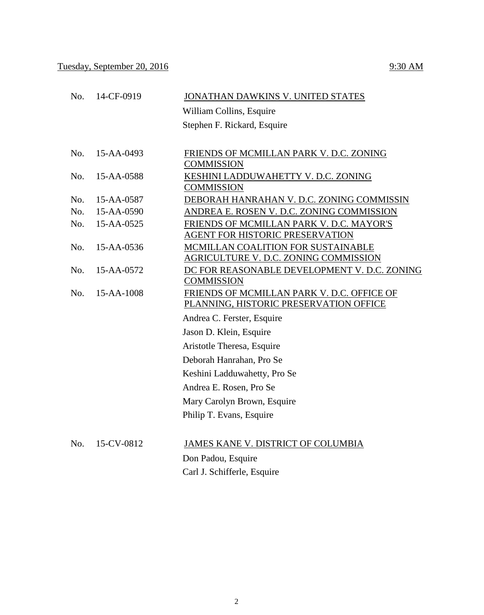|     |            | William Collins, Esquire                                                    |
|-----|------------|-----------------------------------------------------------------------------|
|     |            | Stephen F. Rickard, Esquire                                                 |
|     |            |                                                                             |
| No. | 15-AA-0493 | FRIENDS OF MCMILLAN PARK V. D.C. ZONING<br><b>COMMISSION</b>                |
| No. | 15-AA-0588 | KESHINI LADDUWAHETTY V. D.C. ZONING<br><b>COMMISSION</b>                    |
| No. | 15-AA-0587 | DEBORAH HANRAHAN V. D.C. ZONING COMMISSIN                                   |
| No. | 15-AA-0590 | ANDREA E. ROSEN V. D.C. ZONING COMMISSION                                   |
| No. | 15-AA-0525 | FRIENDS OF MCMILLAN PARK V. D.C. MAYOR'S                                    |
|     |            | <b>AGENT FOR HISTORIC PRESERVATION</b>                                      |
| No. | 15-AA-0536 | MCMILLAN COALITION FOR SUSTAINABLE<br>AGRICULTURE V. D.C. ZONING COMMISSION |
| No. | 15-AA-0572 | DC FOR REASONABLE DEVELOPMENT V. D.C. ZONING                                |
|     |            | <b>COMMISSION</b>                                                           |
| No. | 15-AA-1008 | FRIENDS OF MCMILLAN PARK V. D.C. OFFICE OF                                  |
|     |            | PLANNING, HISTORIC PRESERVATION OFFICE                                      |
|     |            | Andrea C. Ferster, Esquire                                                  |
|     |            | Jason D. Klein, Esquire                                                     |
|     |            | Aristotle Theresa, Esquire                                                  |
|     |            | Deborah Hanrahan, Pro Se                                                    |
|     |            | Keshini Ladduwahetty, Pro Se                                                |
|     |            | Andrea E. Rosen, Pro Se                                                     |
|     |            | Mary Carolyn Brown, Esquire                                                 |
|     |            | Philip T. Evans, Esquire                                                    |
| No. | 15-CV-0812 | JAMES KANE V. DISTRICT OF COLUMBIA                                          |
|     |            | Don Padou, Esquire                                                          |
|     |            | Carl J. Schifferle, Esquire                                                 |
|     |            |                                                                             |